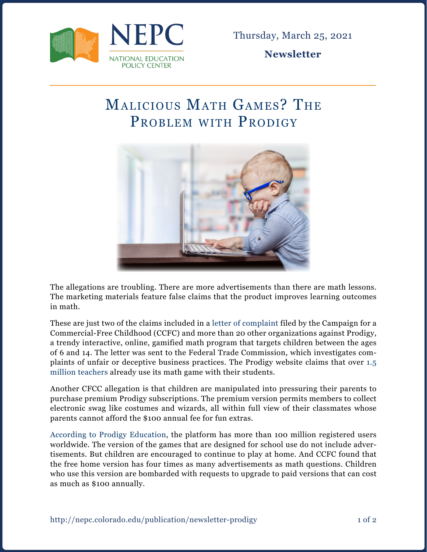

Thursday, March 25, 2021

**Newsletter**

## Malicious Math Games? The PROBLEM WITH PRODIGY



The allegations are troubling. There are more advertisements than there are math lessons. The marketing materials feature false claims that the product improves learning outcomes in math.

These are just two of the claims included in a [letter of complaint](https://commercialfreechildhood.org/wp-content/uploads/2021/02/Prodigy_Complaint_Feb21.pdf?eType=EmailBlastContent&eId=158e613d-de87-4edd-ab2e-dab21db855db) filed by the Campaign for a Commercial-Free Childhood (CCFC) and more than 20 other organizations against Prodigy, a trendy interactive, online, gamified math program that targets children between the ages of 6 and 14. The letter was sent to the Federal Trade Commission, which investigates complaints of unfair or deceptive business practices. The Prodigy website claims that over [1.5](https://www.prodigygame.com/main-en/teachers/)  [million teachers](https://www.prodigygame.com/main-en/teachers/) already use its math game with their students.

Another CFCC allegation is that children are manipulated into pressuring their parents to purchase premium Prodigy subscriptions. The premium version permits members to collect electronic swag like costumes and wizards, all within full view of their classmates whose parents cannot afford the \$100 annual fee for fun extras.

[According to Prodigy Education](https://www.prnewswire.com/news-releases/prodigy-education-raises-one-of-the-largest-series-b-rounds-in-global-edtech-history-301205869.html), the platform has more than 100 million registered users worldwide. The version of the games that are designed for school use do not include advertisements. But children are encouraged to continue to play at home. And CCFC found that the free home version has four times as many advertisements as math questions. Children who use this version are bombarded with requests to upgrade to paid versions that can cost as much as \$100 annually.